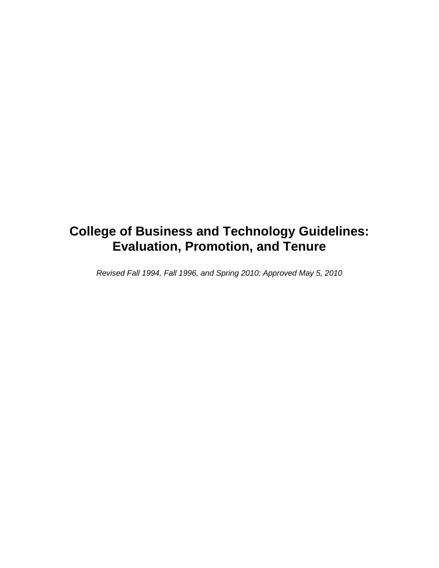# **College of Business and Technology Guidelines: Evaluation, Promotion, and Tenure**

*Revised Fall 1994, Fall 1996, and Spring 2010; Approved May 5, 2010*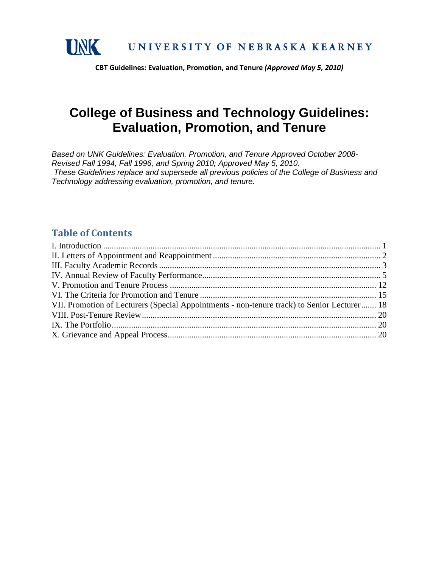

# **College of Business and Technology Guidelines: Evaluation, Promotion, and Tenure**

*Based on UNK Guidelines: Evaluation, Promotion, and Tenure Approved October 2008- Revised Fall 1994, Fall 1996, and Spring 2010; Approved May 5, 2010. These Guidelines replace and supersede all previous policies of the College of Business and Technology addressing evaluation, promotion, and tenure.*

### **Table of Contents**

| VII. Promotion of Lecturers (Special Appointments - non-tenure track) to Senior Lecturer 18 |
|---------------------------------------------------------------------------------------------|
|                                                                                             |
|                                                                                             |
|                                                                                             |
|                                                                                             |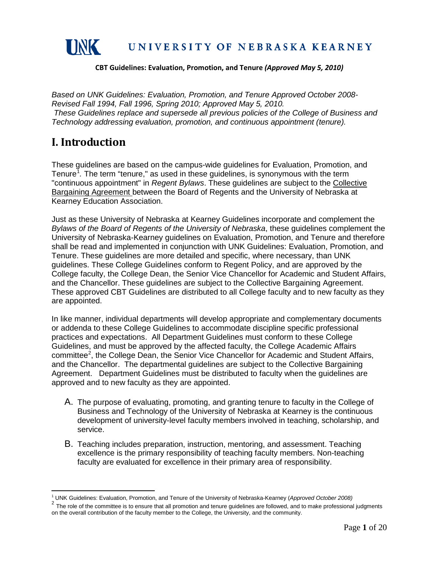

*Based on UNK Guidelines: Evaluation, Promotion, and Tenure Approved October 2008- Revised Fall 1994, Fall 1996, Spring 2010; Approved May 5, 2010. These Guidelines replace and supersede all previous policies of the College of Business and Technology addressing evaluation, promotion, and continuous appointment (tenure).*

### <span id="page-2-0"></span>**I. Introduction**

These guidelines are based on the campus-wide guidelines for Evaluation, Promotion, and Tenure<sup>[1](#page-2-1)</sup>. The term "tenure," as used in these guidelines, is synonymous with the term "continuous appointment" in *Regent Bylaws*. These guidelines are subject to the Collective Bargaining Agreement between the Board of Regents and the University of Nebraska at Kearney Education Association.

Just as these University of Nebraska at Kearney Guidelines incorporate and complement the *Bylaws of the Board of Regents of the University of Nebraska*, these guidelines complement the University of Nebraska-Kearney guidelines on Evaluation, Promotion, and Tenure and therefore shall be read and implemented in conjunction with UNK Guidelines: Evaluation, Promotion, and Tenure. These guidelines are more detailed and specific, where necessary, than UNK guidelines. These College Guidelines conform to Regent Policy, and are approved by the College faculty, the College Dean, the Senior Vice Chancellor for Academic and Student Affairs, and the Chancellor. These guidelines are subject to the Collective Bargaining Agreement. These approved CBT Guidelines are distributed to all College faculty and to new faculty as they are appointed.

In like manner, individual departments will develop appropriate and complementary documents or addenda to these College Guidelines to accommodate discipline specific professional practices and expectations. All Department Guidelines must conform to these College Guidelines, and must be approved by the affected faculty, the College Academic Affairs committee<sup>[2](#page-2-2)</sup>, the College Dean, the Senior Vice Chancellor for Academic and Student Affairs, and the Chancellor. The departmental guidelines are subject to the Collective Bargaining Agreement. Department Guidelines must be distributed to faculty when the guidelines are approved and to new faculty as they are appointed.

- A. The purpose of evaluating, promoting, and granting tenure to faculty in the College of Business and Technology of the University of Nebraska at Kearney is the continuous development of university-level faculty members involved in teaching, scholarship, and service.
- B. Teaching includes preparation, instruction, mentoring, and assessment. Teaching excellence is the primary responsibility of teaching faculty members. Non-teaching faculty are evaluated for excellence in their primary area of responsibility.

<span id="page-2-2"></span><span id="page-2-1"></span><sup>&</sup>lt;sup>1</sup> UNK Guidelines: Evaluation, Promotion, and Tenure of the University of Nebraska-Kearney (Approved October 2008)<br><sup>2</sup> The role of the committee is to ensure that all promotion and tenure guidelines are followed, and to on the overall contribution of the faculty member to the College, the University, and the community.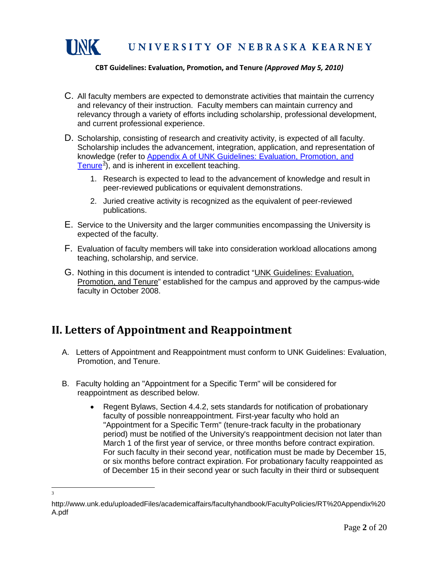

- C. All faculty members are expected to demonstrate activities that maintain the currency and relevancy of their instruction. Faculty members can maintain currency and relevancy through a variety of efforts including scholarship, professional development, and current professional experience.
- D. Scholarship, consisting of research and creativity activity, is expected of all faculty. Scholarship includes the advancement, integration, application, and representation of knowledge (refer to Appendix A of [UNK Guidelines: Evaluation, Promotion, and](http://www.unk.edu/academic_affairs/_files/faculty_handbook/rt-appendix-a.pdf) [Tenure](http://www.unk.edu/uploadedFiles/academicaffairs/facultyhandbook/FacultyPolicies/RT%20Appendix%20A.pdf)<sup>[3](#page-3-1)</sup>), and is inherent in excellent teaching.
	- 1. Research is expected to lead to the advancement of knowledge and result in peer-reviewed publications or equivalent demonstrations.
	- 2. Juried creative activity is recognized as the equivalent of peer-reviewed publications.
- E. Service to the University and the larger communities encompassing the University is expected of the faculty.
- F. Evaluation of faculty members will take into consideration workload allocations among teaching, scholarship, and service.
- G. Nothing in this document is intended to contradict "UNK Guidelines: Evaluation, Promotion, and Tenure" established for the campus and approved by the campus-wide faculty in October 2008.

## <span id="page-3-0"></span>**II. Letters of Appointment and Reappointment**

- A. Letters of Appointment and Reappointment must conform to UNK Guidelines: Evaluation, Promotion, and Tenure.
- B. Faculty holding an "Appointment for a Specific Term" will be considered for reappointment as described below.
	- Regent Bylaws, Section 4.4.2, sets standards for notification of probationary faculty of possible nonreappointment. First-year faculty who hold an "Appointment for a Specific Term" (tenure-track faculty in the probationary period) must be notified of the University's reappointment decision not later than March 1 of the first year of service, or three months before contract expiration. For such faculty in their second year, notification must be made by December 15, or six months before contract expiration. For probationary faculty reappointed as of December 15 in their second year or such faculty in their third or subsequent

<sup>3</sup>

<span id="page-3-1"></span>http://www.unk.edu/uploadedFiles/academicaffairs/facultyhandbook/FacultyPolicies/RT%20Appendix%20 A.pdf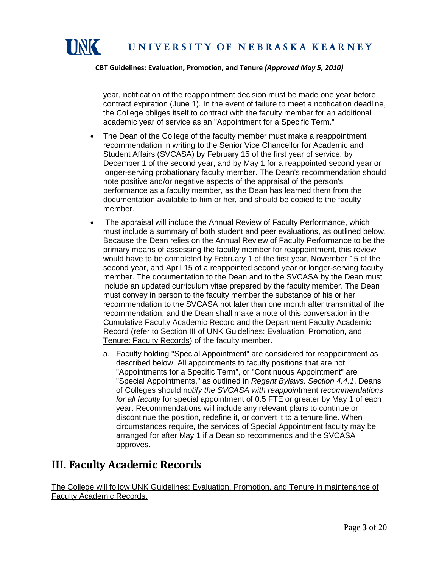

year, notification of the reappointment decision must be made one year before contract expiration (June 1). In the event of failure to meet a notification deadline, the College obliges itself to contract with the faculty member for an additional academic year of service as an "Appointment for a Specific Term."

- The Dean of the College of the faculty member must make a reappointment recommendation in writing to the Senior Vice Chancellor for Academic and Student Affairs (SVCASA) by February 15 of the first year of service, by December 1 of the second year, and by May 1 for a reappointed second year or longer-serving probationary faculty member. The Dean's recommendation should note positive and/or negative aspects of the appraisal of the person's performance as a faculty member, as the Dean has learned them from the documentation available to him or her, and should be copied to the faculty member.
- The appraisal will include the Annual Review of Faculty Performance, which must include a summary of both student and peer evaluations, as outlined below. Because the Dean relies on the Annual Review of Faculty Performance to be the primary means of assessing the faculty member for reappointment, this review would have to be completed by February 1 of the first year, November 15 of the second year, and April 15 of a reappointed second year or longer-serving faculty member. The documentation to the Dean and to the SVCASA by the Dean must include an updated curriculum vitae prepared by the faculty member. The Dean must convey in person to the faculty member the substance of his or her recommendation to the SVCASA not later than one month after transmittal of the recommendation, and the Dean shall make a note of this conversation in the Cumulative Faculty Academic Record and the Department Faculty Academic Record (refer to Section III of UNK Guidelines: Evaluation, Promotion, and Tenure: Faculty Records) of the faculty member.
	- a. Faculty holding "Special Appointment" are considered for reappointment as described below. All appointments to faculty positions that are not "Appointments for a Specific Term", or "Continuous Appointment" are "Special Appointments," as outlined in *Regent Bylaws, Section 4.4.1*. Deans of Colleges should n*otify the SVCASA with reappoin*tment r*ecommendations for all faculty* for special appointment of 0.5 FTE or greater by May 1 of each year. Recommendations will include any relevant plans to continue or discontinue the position, redefine it, or convert it to a tenure line. When circumstances require, the services of Special Appointment faculty may be arranged for after May 1 if a Dean so recommends and the SVCASA approves.

## <span id="page-4-0"></span>**III. Faculty Academic Records**

The College will follow UNK Guidelines: Evaluation, Promotion, and Tenure in maintenance of Faculty Academic Records.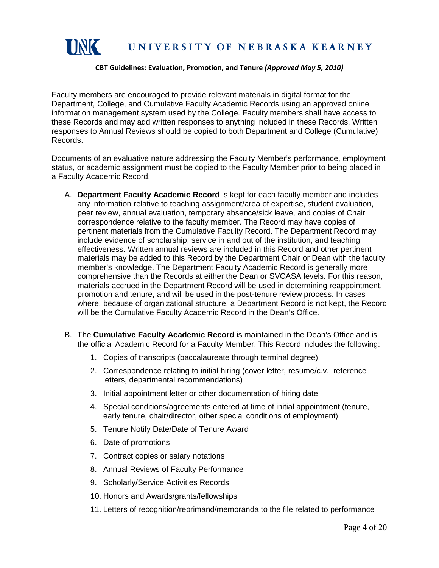

Faculty members are encouraged to provide relevant materials in digital format for the Department, College, and Cumulative Faculty Academic Records using an approved online information management system used by the College. Faculty members shall have access to these Records and may add written responses to anything included in these Records. Written responses to Annual Reviews should be copied to both Department and College (Cumulative) Records.

Documents of an evaluative nature addressing the Faculty Member's performance, employment status, or academic assignment must be copied to the Faculty Member prior to being placed in a Faculty Academic Record.

- A. **Department Faculty Academic Record** is kept for each faculty member and includes any information relative to teaching assignment/area of expertise, student evaluation, peer review, annual evaluation, temporary absence/sick leave, and copies of Chair correspondence relative to the faculty member. The Record may have copies of pertinent materials from the Cumulative Faculty Record. The Department Record may include evidence of scholarship, service in and out of the institution, and teaching effectiveness. Written annual reviews are included in this Record and other pertinent materials may be added to this Record by the Department Chair or Dean with the faculty member's knowledge. The Department Faculty Academic Record is generally more comprehensive than the Records at either the Dean or SVCASA levels. For this reason, materials accrued in the Department Record will be used in determining reappointment, promotion and tenure, and will be used in the post-tenure review process. In cases where, because of organizational structure, a Department Record is not kept, the Record will be the Cumulative Faculty Academic Record in the Dean's Office.
- B. The **Cumulative Faculty Academic Record** is maintained in the Dean's Office and is the official Academic Record for a Faculty Member. This Record includes the following:
	- 1. Copies of transcripts (baccalaureate through terminal degree)
	- 2. Correspondence relating to initial hiring (cover letter, resume/c.v., reference letters, departmental recommendations)
	- 3. Initial appointment letter or other documentation of hiring date
	- 4. Special conditions/agreements entered at time of initial appointment (tenure, early tenure, chair/director, other special conditions of employment)
	- 5. Tenure Notify Date/Date of Tenure Award
	- 6. Date of promotions
	- 7. Contract copies or salary notations
	- 8. Annual Reviews of Faculty Performance
	- 9. Scholarly/Service Activities Records
	- 10. Honors and Awards/grants/fellowships
	- 11. Letters of recognition/reprimand/memoranda to the file related to performance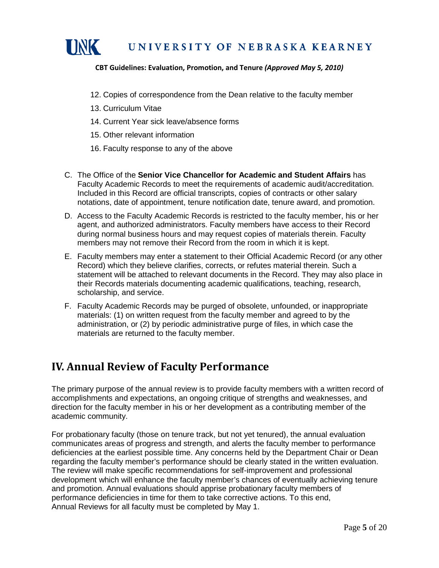

- 12. Copies of correspondence from the Dean relative to the faculty member
- 13. Curriculum Vitae
- 14. Current Year sick leave/absence forms
- 15. Other relevant information
- 16. Faculty response to any of the above
- C. The Office of the **Senior Vice Chancellor for Academic and Student Affairs** has Faculty Academic Records to meet the requirements of academic audit/accreditation. Included in this Record are official transcripts, copies of contracts or other salary notations, date of appointment, tenure notification date, tenure award, and promotion.
- D. Access to the Faculty Academic Records is restricted to the faculty member, his or her agent, and authorized administrators. Faculty members have access to their Record during normal business hours and may request copies of materials therein. Faculty members may not remove their Record from the room in which it is kept.
- E. Faculty members may enter a statement to their Official Academic Record (or any other Record) which they believe clarifies, corrects, or refutes material therein. Such a statement will be attached to relevant documents in the Record. They may also place in their Records materials documenting academic qualifications, teaching, research, scholarship, and service.
- F. Faculty Academic Records may be purged of obsolete, unfounded, or inappropriate materials: (1) on written request from the faculty member and agreed to by the administration, or (2) by periodic administrative purge of files, in which case the materials are returned to the faculty member.

### <span id="page-6-0"></span>**IV. Annual Review of Faculty Performance**

The primary purpose of the annual review is to provide faculty members with a written record of accomplishments and expectations, an ongoing critique of strengths and weaknesses, and direction for the faculty member in his or her development as a contributing member of the academic community.

For probationary faculty (those on tenure track, but not yet tenured), the annual evaluation communicates areas of progress and strength, and alerts the faculty member to performance deficiencies at the earliest possible time. Any concerns held by the Department Chair or Dean regarding the faculty member's performance should be clearly stated in the written evaluation. The review will make specific recommendations for self-improvement and professional development which will enhance the faculty member's chances of eventually achieving tenure and promotion. Annual evaluations should apprise probationary faculty members of performance deficiencies in time for them to take corrective actions. To this end, Annual Reviews for all faculty must be completed by May 1.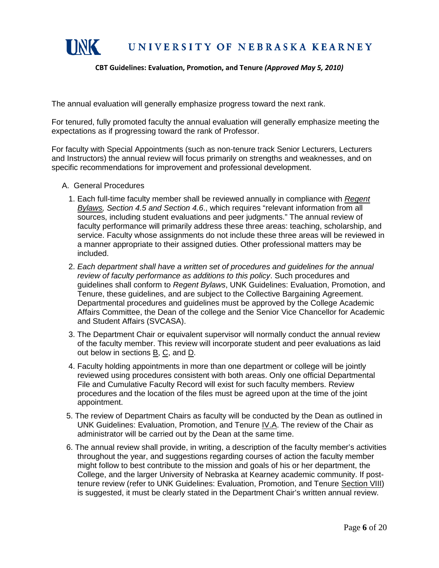

The annual evaluation will generally emphasize progress toward the next rank.

For tenured, fully promoted faculty the annual evaluation will generally emphasize meeting the expectations as if progressing toward the rank of Professor.

For faculty with Special Appointments (such as non-tenure track Senior Lecturers, Lecturers and Instructors) the annual review will focus primarily on strengths and weaknesses, and on specific recommendations for improvement and professional development.

- A. General Procedures
	- 1. Each full-time faculty member shall be reviewed annually in compliance with *Regent Bylaws, Section 4.5 and Section 4.6*., which requires "relevant information from all sources, including student evaluations and peer judgments." The annual review of faculty performance will primarily address these three areas: teaching, scholarship, and service. Faculty whose assignments do not include these three areas will be reviewed in a manner appropriate to their assigned duties. Other professional matters may be included.
	- 2. *Each department shall have a written set of procedures and guidelines for the annual review of faculty performance as additions to this policy*. Such procedures and guidelines shall conform to *Regent Bylaws*, UNK Guidelines: Evaluation, Promotion, and Tenure, these guidelines, and are subject to the Collective Bargaining Agreement. Departmental procedures and guidelines must be approved by the College Academic Affairs Committee, the Dean of the college and the Senior Vice Chancellor for Academic and Student Affairs (SVCASA).
	- 3. The Department Chair or equivalent supervisor will normally conduct the annual review of the faculty member. This review will incorporate student and peer evaluations as laid out below in sections B, C, and D.
	- 4. Faculty holding appointments in more than one department or college will be jointly reviewed using procedures consistent with both areas. Only one official Departmental File and Cumulative Faculty Record will exist for such faculty members. Review procedures and the location of the files must be agreed upon at the time of the joint appointment.
- 5. The review of Department Chairs as faculty will be conducted by the Dean as outlined in UNK Guidelines: Evaluation, Promotion, and Tenure IV.A. The review of the Chair as administrator will be carried out by the Dean at the same time.
- 6. The annual review shall provide, in writing, a description of the faculty member's activities throughout the year, and suggestions regarding courses of action the faculty member might follow to best contribute to the mission and goals of his or her department, the College, and the larger University of Nebraska at Kearney academic community. If posttenure review (refer to UNK Guidelines: Evaluation, Promotion, and Tenure Section VIII) is suggested, it must be clearly stated in the Department Chair's written annual review.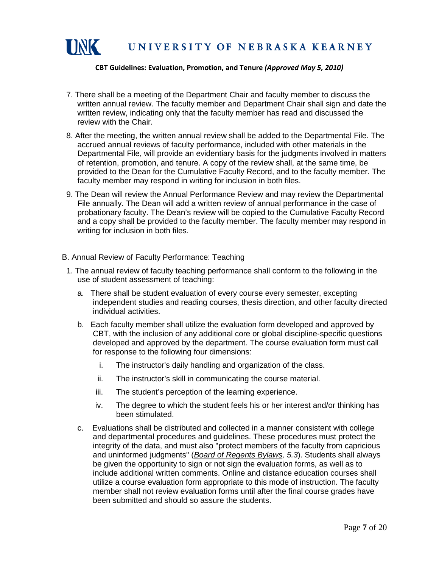

- 7. There shall be a meeting of the Department Chair and faculty member to discuss the written annual review. The faculty member and Department Chair shall sign and date the written review, indicating only that the faculty member has read and discussed the review with the Chair.
- 8. After the meeting, the written annual review shall be added to the Departmental File. The accrued annual reviews of faculty performance, included with other materials in the Departmental File, will provide an evidentiary basis for the judgments involved in matters of retention, promotion, and tenure. A copy of the review shall, at the same time, be provided to the Dean for the Cumulative Faculty Record, and to the faculty member. The faculty member may respond in writing for inclusion in both files.
- 9. The Dean will review the Annual Performance Review and may review the Departmental File annually. The Dean will add a written review of annual performance in the case of probationary faculty. The Dean's review will be copied to the Cumulative Faculty Record and a copy shall be provided to the faculty member. The faculty member may respond in writing for inclusion in both files.
- B. Annual Review of Faculty Performance: Teaching
- 1. The annual review of faculty teaching performance shall conform to the following in the use of student assessment of teaching:
	- a. There shall be student evaluation of every course every semester, excepting independent studies and reading courses, thesis direction, and other faculty directed individual activities.
	- b. Each faculty member shall utilize the evaluation form developed and approved by CBT, with the inclusion of any additional core or global discipline-specific questions developed and approved by the department. The course evaluation form must call for response to the following four dimensions:
		- i. The instructor's daily handling and organization of the class.
		- ii. The instructor's skill in communicating the course material.
		- iii. The student's perception of the learning experience.
		- iv. The degree to which the student feels his or her interest and/or thinking has been stimulated.
	- c. Evaluations shall be distributed and collected in a manner consistent with college and departmental procedures and guidelines. These procedures must protect the integrity of the data, and must also "protect members of the faculty from capricious and uninformed judgments" (*Board of Regents Bylaws, 5.3*). Students shall always be given the opportunity to sign or not sign the evaluation forms, as well as to include additional written comments. Online and distance education courses shall utilize a course evaluation form appropriate to this mode of instruction. The faculty member shall not review evaluation forms until after the final course grades have been submitted and should so assure the students.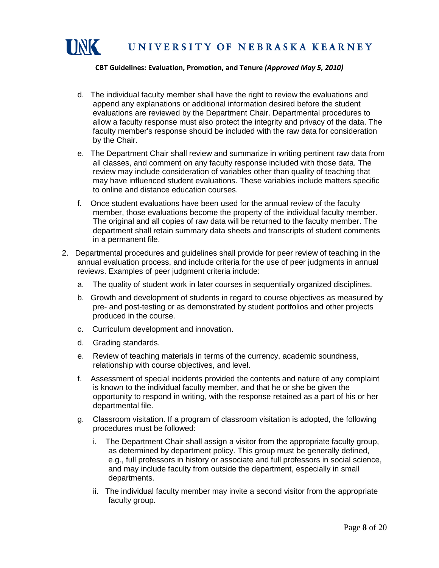

- d. The individual faculty member shall have the right to review the evaluations and append any explanations or additional information desired before the student evaluations are reviewed by the Department Chair. Departmental procedures to allow a faculty response must also protect the integrity and privacy of the data. The faculty member's response should be included with the raw data for consideration by the Chair.
- e. The Department Chair shall review and summarize in writing pertinent raw data from all classes, and comment on any faculty response included with those data. The review may include consideration of variables other than quality of teaching that may have influenced student evaluations. These variables include matters specific to online and distance education courses.
- f. Once student evaluations have been used for the annual review of the faculty member, those evaluations become the property of the individual faculty member. The original and all copies of raw data will be returned to the faculty member. The department shall retain summary data sheets and transcripts of student comments in a permanent file.
- 2. Departmental procedures and guidelines shall provide for peer review of teaching in the annual evaluation process, and include criteria for the use of peer judgments in annual reviews. Examples of peer judgment criteria include:
	- a. The quality of student work in later courses in sequentially organized disciplines.
	- b. Growth and development of students in regard to course objectives as measured by pre- and post-testing or as demonstrated by student portfolios and other projects produced in the course.
	- c. Curriculum development and innovation.
	- d. Grading standards.
	- e. Review of teaching materials in terms of the currency, academic soundness, relationship with course objectives, and level.
	- f. Assessment of special incidents provided the contents and nature of any complaint is known to the individual faculty member, and that he or she be given the opportunity to respond in writing, with the response retained as a part of his or her departmental file.
	- g. Classroom visitation. If a program of classroom visitation is adopted, the following procedures must be followed:
		- i. The Department Chair shall assign a visitor from the appropriate faculty group, as determined by department policy. This group must be generally defined, e.g., full professors in history or associate and full professors in social science, and may include faculty from outside the department, especially in small departments.
		- ii. The individual faculty member may invite a second visitor from the appropriate faculty group.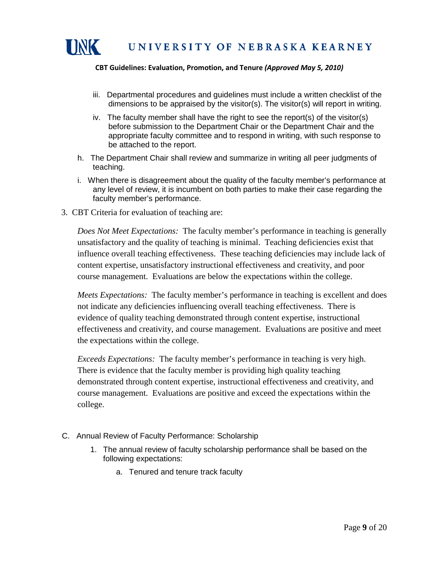

- iii. Departmental procedures and guidelines must include a written checklist of the dimensions to be appraised by the visitor(s). The visitor(s) will report in writing.
- iv. The faculty member shall have the right to see the report(s) of the visitor(s) before submission to the Department Chair or the Department Chair and the appropriate faculty committee and to respond in writing, with such response to be attached to the report.
- h. The Department Chair shall review and summarize in writing all peer judgments of teaching.
- i. When there is disagreement about the quality of the faculty member's performance at any level of review, it is incumbent on both parties to make their case regarding the faculty member's performance.
- 3. CBT Criteria for evaluation of teaching are:

*Does Not Meet Expectations:* The faculty member's performance in teaching is generally unsatisfactory and the quality of teaching is minimal. Teaching deficiencies exist that influence overall teaching effectiveness. These teaching deficiencies may include lack of content expertise, unsatisfactory instructional effectiveness and creativity, and poor course management. Evaluations are below the expectations within the college.

*Meets Expectations:* The faculty member's performance in teaching is excellent and does not indicate any deficiencies influencing overall teaching effectiveness. There is evidence of quality teaching demonstrated through content expertise, instructional effectiveness and creativity, and course management. Evaluations are positive and meet the expectations within the college.

*Exceeds Expectations:* The faculty member's performance in teaching is very high. There is evidence that the faculty member is providing high quality teaching demonstrated through content expertise, instructional effectiveness and creativity, and course management. Evaluations are positive and exceed the expectations within the college.

- C. Annual Review of Faculty Performance: Scholarship
	- 1. The annual review of faculty scholarship performance shall be based on the following expectations:
		- a. Tenured and tenure track faculty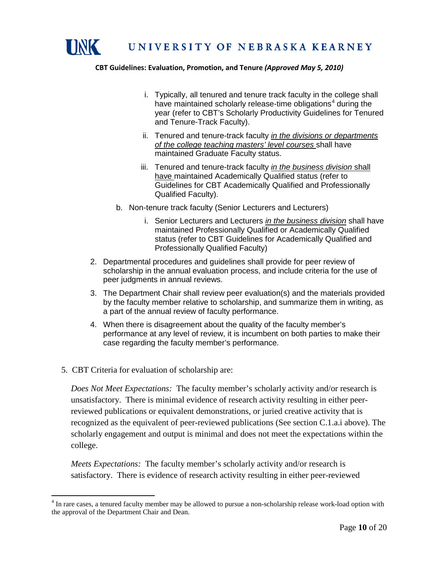

- i. Typically, all tenured and tenure track faculty in the college shall have maintained scholarly release-time obligations<sup>[4](#page-11-0)</sup> during the year (refer to CBT's Scholarly Productivity Guidelines for Tenured and Tenure-Track Faculty).
- ii. Tenured and tenure-track faculty *in the divisions or departments of the college teaching masters' level courses* shall have maintained Graduate Faculty status.
- iii. Tenured and tenure-track faculty *in the business division* shall have maintained Academically Qualified status (refer to Guidelines for CBT Academically Qualified and Professionally Qualified Faculty).
- b. Non-tenure track faculty (Senior Lecturers and Lecturers)
	- i. Senior Lecturers and Lecturers *in the business division* shall have maintained Professionally Qualified or Academically Qualified status (refer to CBT Guidelines for Academically Qualified and Professionally Qualified Faculty)
- 2. Departmental procedures and guidelines shall provide for peer review of scholarship in the annual evaluation process, and include criteria for the use of peer judgments in annual reviews.
- 3. The Department Chair shall review peer evaluation(s) and the materials provided by the faculty member relative to scholarship, and summarize them in writing, as a part of the annual review of faculty performance.
- 4. When there is disagreement about the quality of the faculty member's performance at any level of review, it is incumbent on both parties to make their case regarding the faculty member's performance.
- 5. CBT Criteria for evaluation of scholarship are:

*Does Not Meet Expectations:* The faculty member's scholarly activity and/or research is unsatisfactory. There is minimal evidence of research activity resulting in either peerreviewed publications or equivalent demonstrations, or juried creative activity that is recognized as the equivalent of peer-reviewed publications (See section C.1.a.i above). The scholarly engagement and output is minimal and does not meet the expectations within the college.

*Meets Expectations:* The faculty member's scholarly activity and/or research is satisfactory. There is evidence of research activity resulting in either peer-reviewed

<span id="page-11-0"></span><sup>&</sup>lt;sup>4</sup> In rare cases, a tenured faculty member may be allowed to pursue a non-scholarship release work-load option with the approval of the Department Chair and Dean.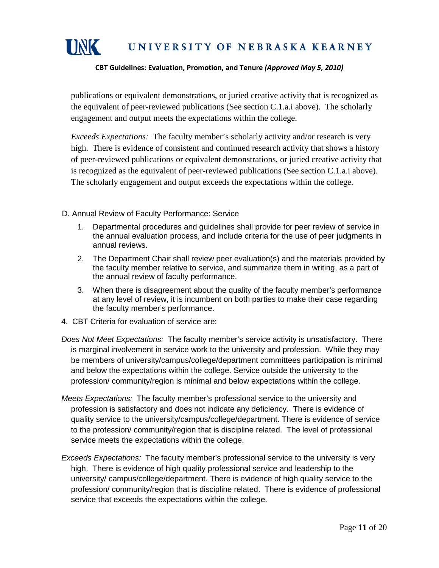

### UNIVERSITY OF NEBRASKA KEARNEY

#### **CBT Guidelines: Evaluation, Promotion, and Tenure** *(Approved May 5, 2010)*

publications or equivalent demonstrations, or juried creative activity that is recognized as the equivalent of peer-reviewed publications (See section C.1.a.i above). The scholarly engagement and output meets the expectations within the college.

*Exceeds Expectations:* The faculty member's scholarly activity and/or research is very high. There is evidence of consistent and continued research activity that shows a history of peer-reviewed publications or equivalent demonstrations, or juried creative activity that is recognized as the equivalent of peer-reviewed publications (See section C.1.a.i above). The scholarly engagement and output exceeds the expectations within the college.

D. Annual Review of Faculty Performance: Service

- 1. Departmental procedures and guidelines shall provide for peer review of service in the annual evaluation process, and include criteria for the use of peer judgments in annual reviews.
- 2. The Department Chair shall review peer evaluation(s) and the materials provided by the faculty member relative to service, and summarize them in writing, as a part of the annual review of faculty performance.
- 3. When there is disagreement about the quality of the faculty member's performance at any level of review, it is incumbent on both parties to make their case regarding the faculty member's performance.
- 4. CBT Criteria for evaluation of service are:
- *Does Not Meet Expectations:* The faculty member's service activity is unsatisfactory. There is marginal involvement in service work to the university and profession. While they may be members of university/campus/college/department committees participation is minimal and below the expectations within the college. Service outside the university to the profession/ community/region is minimal and below expectations within the college.
- *Meets Expectations:* The faculty member's professional service to the university and profession is satisfactory and does not indicate any deficiency. There is evidence of quality service to the university/campus/college/department. There is evidence of service to the profession/ community/region that is discipline related. The level of professional service meets the expectations within the college.
- *Exceeds Expectations:* The faculty member's professional service to the university is very high. There is evidence of high quality professional service and leadership to the university/ campus/college/department. There is evidence of high quality service to the profession/ community/region that is discipline related. There is evidence of professional service that exceeds the expectations within the college.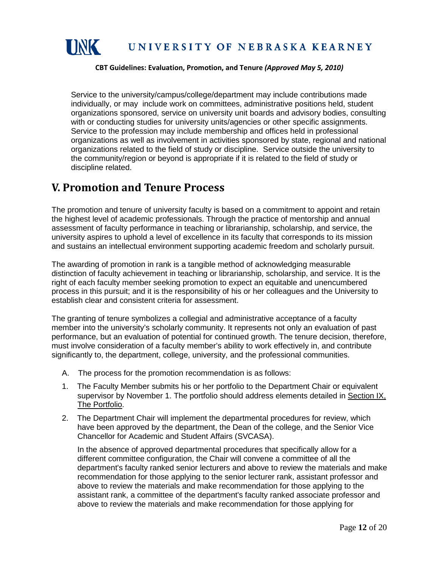

Service to the university/campus/college/department may include contributions made individually, or may include work on committees, administrative positions held, student organizations sponsored, service on university unit boards and advisory bodies, consulting with or conducting studies for university units/agencies or other specific assignments. Service to the profession may include membership and offices held in professional organizations as well as involvement in activities sponsored by state, regional and national organizations related to the field of study or discipline. Service outside the university to the community/region or beyond is appropriate if it is related to the field of study or discipline related.

### <span id="page-13-0"></span>**V. Promotion and Tenure Process**

The promotion and tenure of university faculty is based on a commitment to appoint and retain the highest level of academic professionals. Through the practice of mentorship and annual assessment of faculty performance in teaching or librarianship, scholarship, and service, the university aspires to uphold a level of excellence in its faculty that corresponds to its mission and sustains an intellectual environment supporting academic freedom and scholarly pursuit.

The awarding of promotion in rank is a tangible method of acknowledging measurable distinction of faculty achievement in teaching or librarianship, scholarship, and service. It is the right of each faculty member seeking promotion to expect an equitable and unencumbered process in this pursuit; and it is the responsibility of his or her colleagues and the University to establish clear and consistent criteria for assessment.

The granting of tenure symbolizes a collegial and administrative acceptance of a faculty member into the university's scholarly community. It represents not only an evaluation of past performance, but an evaluation of potential for continued growth. The tenure decision, therefore, must involve consideration of a faculty member's ability to work effectively in, and contribute significantly to, the department, college, university, and the professional communities.

- A. The process for the promotion recommendation is as follows:
- 1. The Faculty Member submits his or her portfolio to the Department Chair or equivalent supervisor by November 1. The portfolio should address elements detailed in Section IX, The Portfolio.
- 2. The Department Chair will implement the departmental procedures for review, which have been approved by the department, the Dean of the college, and the Senior Vice Chancellor for Academic and Student Affairs (SVCASA).

In the absence of approved departmental procedures that specifically allow for a different committee configuration, the Chair will convene a committee of all the department's faculty ranked senior lecturers and above to review the materials and make recommendation for those applying to the senior lecturer rank, assistant professor and above to review the materials and make recommendation for those applying to the assistant rank, a committee of the department's faculty ranked associate professor and above to review the materials and make recommendation for those applying for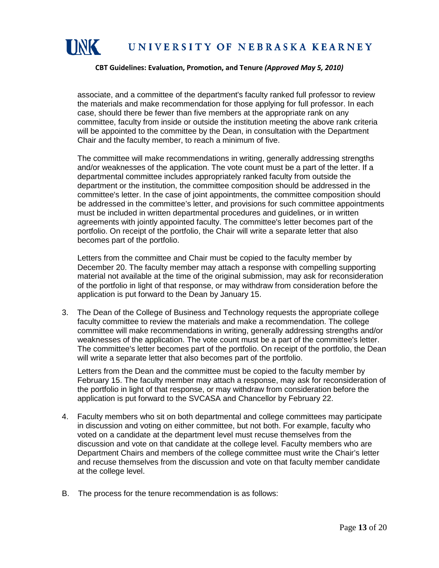

associate, and a committee of the department's faculty ranked full professor to review the materials and make recommendation for those applying for full professor. In each case, should there be fewer than five members at the appropriate rank on any committee, faculty from inside or outside the institution meeting the above rank criteria will be appointed to the committee by the Dean, in consultation with the Department Chair and the faculty member, to reach a minimum of five.

The committee will make recommendations in writing, generally addressing strengths and/or weaknesses of the application. The vote count must be a part of the letter. If a departmental committee includes appropriately ranked faculty from outside the department or the institution, the committee composition should be addressed in the committee's letter. In the case of joint appointments, the committee composition should be addressed in the committee's letter, and provisions for such committee appointments must be included in written departmental procedures and guidelines, or in written agreements with jointly appointed faculty. The committee's letter becomes part of the portfolio. On receipt of the portfolio, the Chair will write a separate letter that also becomes part of the portfolio.

Letters from the committee and Chair must be copied to the faculty member by December 20. The faculty member may attach a response with compelling supporting material not available at the time of the original submission, may ask for reconsideration of the portfolio in light of that response, or may withdraw from consideration before the application is put forward to the Dean by January 15.

3. The Dean of the College of Business and Technology requests the appropriate college faculty committee to review the materials and make a recommendation. The college committee will make recommendations in writing, generally addressing strengths and/or weaknesses of the application. The vote count must be a part of the committee's letter. The committee's letter becomes part of the portfolio. On receipt of the portfolio, the Dean will write a separate letter that also becomes part of the portfolio.

Letters from the Dean and the committee must be copied to the faculty member by February 15. The faculty member may attach a response, may ask for reconsideration of the portfolio in light of that response, or may withdraw from consideration before the application is put forward to the SVCASA and Chancellor by February 22.

- 4. Faculty members who sit on both departmental and college committees may participate in discussion and voting on either committee, but not both. For example, faculty who voted on a candidate at the department level must recuse themselves from the discussion and vote on that candidate at the college level. Faculty members who are Department Chairs and members of the college committee must write the Chair's letter and recuse themselves from the discussion and vote on that faculty member candidate at the college level.
- B. The process for the tenure recommendation is as follows: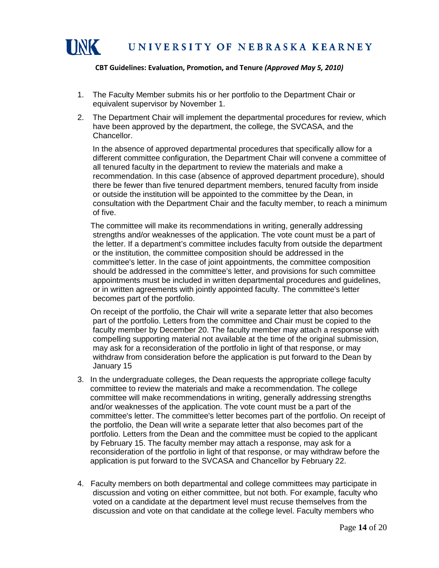

- 1. The Faculty Member submits his or her portfolio to the Department Chair or equivalent supervisor by November 1.
- 2. The Department Chair will implement the departmental procedures for review, which have been approved by the department, the college, the SVCASA, and the Chancellor.

 In the absence of approved departmental procedures that specifically allow for a different committee configuration, the Department Chair will convene a committee of all tenured faculty in the department to review the materials and make a recommendation. In this case (absence of approved department procedure), should there be fewer than five tenured department members, tenured faculty from inside or outside the institution will be appointed to the committee by the Dean, in consultation with the Department Chair and the faculty member, to reach a minimum of five.

 The committee will make its recommendations in writing, generally addressing strengths and/or weaknesses of the application. The vote count must be a part of the letter. If a department's committee includes faculty from outside the department or the institution, the committee composition should be addressed in the committee's letter. In the case of joint appointments, the committee composition should be addressed in the committee's letter, and provisions for such committee appointments must be included in written departmental procedures and guidelines, or in written agreements with jointly appointed faculty. The committee's letter becomes part of the portfolio.

 On receipt of the portfolio, the Chair will write a separate letter that also becomes part of the portfolio. Letters from the committee and Chair must be copied to the faculty member by December 20. The faculty member may attach a response with compelling supporting material not available at the time of the original submission, may ask for a reconsideration of the portfolio in light of that response, or may withdraw from consideration before the application is put forward to the Dean by January 15

- 3. In the undergraduate colleges, the Dean requests the appropriate college faculty committee to review the materials and make a recommendation. The college committee will make recommendations in writing, generally addressing strengths and/or weaknesses of the application. The vote count must be a part of the committee's letter. The committee's letter becomes part of the portfolio. On receipt of the portfolio, the Dean will write a separate letter that also becomes part of the portfolio. Letters from the Dean and the committee must be copied to the applicant by February 15. The faculty member may attach a response, may ask for a reconsideration of the portfolio in light of that response, or may withdraw before the application is put forward to the SVCASA and Chancellor by February 22.
- 4. Faculty members on both departmental and college committees may participate in discussion and voting on either committee, but not both. For example, faculty who voted on a candidate at the department level must recuse themselves from the discussion and vote on that candidate at the college level. Faculty members who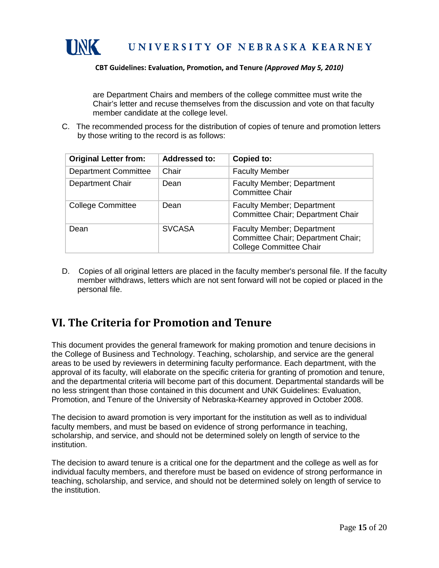

are Department Chairs and members of the college committee must write the Chair's letter and recuse themselves from the discussion and vote on that faculty member candidate at the college level.

C. The recommended process for the distribution of copies of tenure and promotion letters by those writing to the record is as follows:

| <b>Original Letter from:</b> | <b>Addressed to:</b> | Copied to:                                                                                                |
|------------------------------|----------------------|-----------------------------------------------------------------------------------------------------------|
| <b>Department Committee</b>  | Chair                | <b>Faculty Member</b>                                                                                     |
| Department Chair             | Dean                 | Faculty Member; Department<br><b>Committee Chair</b>                                                      |
| <b>College Committee</b>     | Dean                 | <b>Faculty Member; Department</b><br>Committee Chair; Department Chair                                    |
| Dean                         | <b>SVCASA</b>        | <b>Faculty Member; Department</b><br>Committee Chair; Department Chair;<br><b>College Committee Chair</b> |

D. Copies of all original letters are placed in the faculty member's personal file. If the faculty member withdraws, letters which are not sent forward will not be copied or placed in the personal file.

## <span id="page-16-0"></span>**VI. The Criteria for Promotion and Tenure**

This document provides the general framework for making promotion and tenure decisions in the College of Business and Technology. Teaching, scholarship, and service are the general areas to be used by reviewers in determining faculty performance. Each department, with the approval of its faculty, will elaborate on the specific criteria for granting of promotion and tenure, and the departmental criteria will become part of this document. Departmental standards will be no less stringent than those contained in this document and UNK Guidelines: Evaluation, Promotion, and Tenure of the University of Nebraska-Kearney approved in October 2008.

The decision to award promotion is very important for the institution as well as to individual faculty members, and must be based on evidence of strong performance in teaching, scholarship, and service, and should not be determined solely on length of service to the institution.

The decision to award tenure is a critical one for the department and the college as well as for individual faculty members, and therefore must be based on evidence of strong performance in teaching, scholarship, and service, and should not be determined solely on length of service to the institution.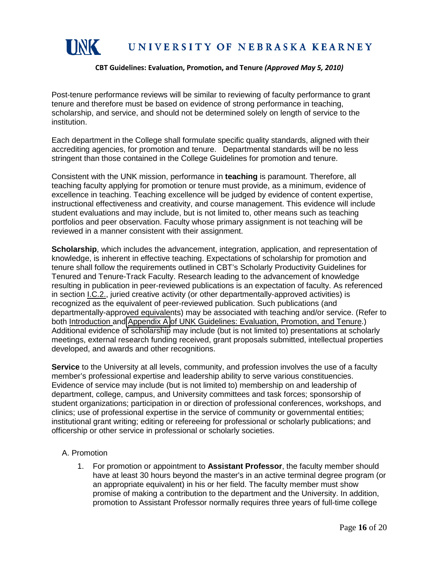

Post-tenure performance reviews will be similar to reviewing of faculty performance to grant tenure and therefore must be based on evidence of strong performance in teaching, scholarship, and service, and should not be determined solely on length of service to the institution.

Each department in the College shall formulate specific quality standards, aligned with their accrediting agencies, for promotion and tenure. Departmental standards will be no less stringent than those contained in the College Guidelines for promotion and tenure.

Consistent with the UNK mission, performance in **teaching** is paramount. Therefore, all teaching faculty applying for promotion or tenure must provide, as a minimum, evidence of excellence in teaching. Teaching excellence will be judged by evidence of content expertise, instructional effectiveness and creativity, and course management. This evidence will include student evaluations and may include, but is not limited to, other means such as teaching portfolios and peer observation. Faculty whose primary assignment is not teaching will be reviewed in a manner consistent with their assignment.

**Scholarship**, which includes the advancement, integration, application, and representation of knowledge, is inherent in effective teaching. Expectations of scholarship for promotion and tenure shall follow the requirements outlined in CBT's Scholarly Productivity Guidelines for Tenured and Tenure-Track Faculty. Research leading to the advancement of knowledge resulting in publication in peer-reviewed publications is an expectation of faculty. As referenced in section I.C.2., juried creative activity (or other departmentally-approved activities) is recognized as the equivalent of peer-reviewed publication. Such publications (and departmentally-approved equivalents) may be associated with teaching and/or service. (Refer to both Introduction and [Appendix A](http://www.unk.edu/academic_affairs/_files/faculty_handbook/rt-appendix-a.pdf) of UNK Guidelines: Evaluation, Promotion, and Tenure.) Additional evidence of scholarship may include (but is not limited to) presentations at scholarly meetings, external research funding received, grant proposals submitted, intellectual properties developed, and awards and other recognitions.

**Service** to the University at all levels, community, and profession involves the use of a faculty member's professional expertise and leadership ability to serve various constituencies. Evidence of service may include (but is not limited to) membership on and leadership of department, college, campus, and University committees and task forces; sponsorship of student organizations; participation in or direction of professional conferences, workshops, and clinics; use of professional expertise in the service of community or governmental entities; institutional grant writing; editing or refereeing for professional or scholarly publications; and officership or other service in professional or scholarly societies.

#### A. Promotion

1. For promotion or appointment to **Assistant Professor**, the faculty member should have at least 30 hours beyond the master's in an active terminal degree program (or an appropriate equivalent) in his or her field. The faculty member must show promise of making a contribution to the department and the University. In addition, promotion to Assistant Professor normally requires three years of full-time college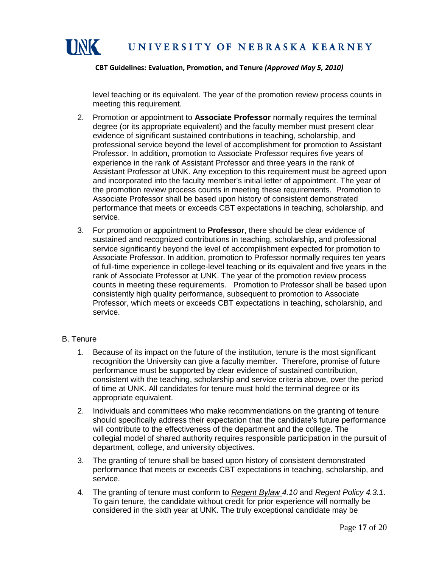

level teaching or its equivalent. The year of the promotion review process counts in meeting this requirement.

- 2. Promotion or appointment to **Associate Professor** normally requires the terminal degree (or its appropriate equivalent) and the faculty member must present clear evidence of significant sustained contributions in teaching, scholarship, and professional service beyond the level of accomplishment for promotion to Assistant Professor. In addition, promotion to Associate Professor requires five years of experience in the rank of Assistant Professor and three years in the rank of Assistant Professor at UNK. Any exception to this requirement must be agreed upon and incorporated into the faculty member's initial letter of appointment. The year of the promotion review process counts in meeting these requirements. Promotion to Associate Professor shall be based upon history of consistent demonstrated performance that meets or exceeds CBT expectations in teaching, scholarship, and service.
- 3. For promotion or appointment to **Professor**, there should be clear evidence of sustained and recognized contributions in teaching, scholarship, and professional service significantly beyond the level of accomplishment expected for promotion to Associate Professor. In addition, promotion to Professor normally requires ten years of full-time experience in college-level teaching or its equivalent and five years in the rank of Associate Professor at UNK. The year of the promotion review process counts in meeting these requirements. Promotion to Professor shall be based upon consistently high quality performance, subsequent to promotion to Associate Professor, which meets or exceeds CBT expectations in teaching, scholarship, and service.

#### B. Tenure

- 1. Because of its impact on the future of the institution, tenure is the most significant recognition the University can give a faculty member. Therefore, promise of future performance must be supported by clear evidence of sustained contribution, consistent with the teaching, scholarship and service criteria above, over the period of time at UNK. All candidates for tenure must hold the terminal degree or its appropriate equivalent.
- 2. Individuals and committees who make recommendations on the granting of tenure should specifically address their expectation that the candidate's future performance will contribute to the effectiveness of the department and the college. The collegial model of shared authority requires responsible participation in the pursuit of department, college, and university objectives.
- 3. The granting of tenure shall be based upon history of consistent demonstrated performance that meets or exceeds CBT expectations in teaching, scholarship, and service.
- 4. The granting of tenure must conform to *Regent Bylaw 4.10* and *Regent Policy 4.3.1*. To gain tenure, the candidate without credit for prior experience will normally be considered in the sixth year at UNK. The truly exceptional candidate may be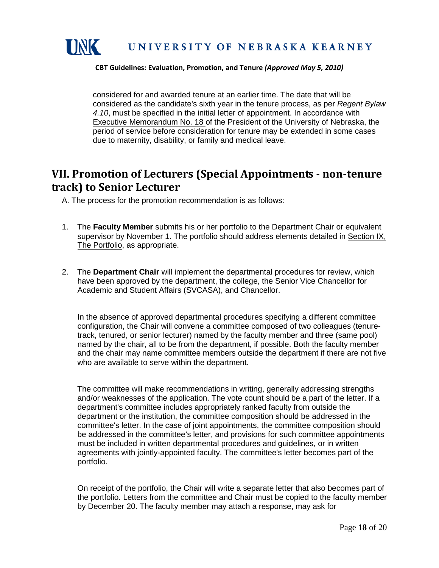

considered for and awarded tenure at an earlier time. The date that will be considered as the candidate's sixth year in the tenure process, as per *Regent Bylaw 4.10*, must be specified in the initial letter of appointment. In accordance with Executive Memorandum No. 18 of the President of the University of Nebraska, the period of service before consideration for tenure may be extended in some cases due to maternity, disability, or family and medical leave.

## <span id="page-19-0"></span>**VII. Promotion of Lecturers (Special Appointments - non-tenure track) to Senior Lecturer**

A. The process for the promotion recommendation is as follows:

- 1. The **Faculty Member** submits his or her portfolio to the Department Chair or equivalent supervisor by November 1. The portfolio should address elements detailed in Section IX, The Portfolio, as appropriate.
- 2. The **Department Chair** will implement the departmental procedures for review, which have been approved by the department, the college, the Senior Vice Chancellor for Academic and Student Affairs (SVCASA), and Chancellor.

In the absence of approved departmental procedures specifying a different committee configuration, the Chair will convene a committee composed of two colleagues (tenuretrack, tenured, or senior lecturer) named by the faculty member and three (same pool) named by the chair, all to be from the department, if possible. Both the faculty member and the chair may name committee members outside the department if there are not five who are available to serve within the department.

 The committee will make recommendations in writing, generally addressing strengths and/or weaknesses of the application. The vote count should be a part of the letter. If a department's committee includes appropriately ranked faculty from outside the department or the institution, the committee composition should be addressed in the committee's letter. In the case of joint appointments, the committee composition should be addressed in the committee's letter, and provisions for such committee appointments must be included in written departmental procedures and guidelines, or in written agreements with jointly-appointed faculty. The committee's letter becomes part of the portfolio.

On receipt of the portfolio, the Chair will write a separate letter that also becomes part of the portfolio. Letters from the committee and Chair must be copied to the faculty member by December 20. The faculty member may attach a response, may ask for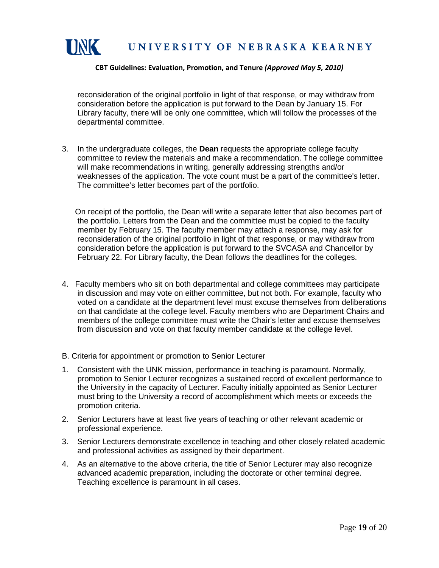

reconsideration of the original portfolio in light of that response, or may withdraw from consideration before the application is put forward to the Dean by January 15. For Library faculty, there will be only one committee, which will follow the processes of the departmental committee.

3. In the undergraduate colleges, the **Dean** requests the appropriate college faculty committee to review the materials and make a recommendation. The college committee will make recommendations in writing, generally addressing strengths and/or weaknesses of the application. The vote count must be a part of the committee's letter. The committee's letter becomes part of the portfolio.

 On receipt of the portfolio, the Dean will write a separate letter that also becomes part of the portfolio. Letters from the Dean and the committee must be copied to the faculty member by February 15. The faculty member may attach a response, may ask for reconsideration of the original portfolio in light of that response, or may withdraw from consideration before the application is put forward to the SVCASA and Chancellor by February 22. For Library faculty, the Dean follows the deadlines for the colleges.

- 4. Faculty members who sit on both departmental and college committees may participate in discussion and may vote on either committee, but not both. For example, faculty who voted on a candidate at the department level must excuse themselves from deliberations on that candidate at the college level. Faculty members who are Department Chairs and members of the college committee must write the Chair's letter and excuse themselves from discussion and vote on that faculty member candidate at the college level.
- B. Criteria for appointment or promotion to Senior Lecturer
- 1. Consistent with the UNK mission, performance in teaching is paramount. Normally, promotion to Senior Lecturer recognizes a sustained record of excellent performance to the University in the capacity of Lecturer. Faculty initially appointed as Senior Lecturer must bring to the University a record of accomplishment which meets or exceeds the promotion criteria.
- 2. Senior Lecturers have at least five years of teaching or other relevant academic or professional experience.
- 3. Senior Lecturers demonstrate excellence in teaching and other closely related academic and professional activities as assigned by their department.
- 4. As an alternative to the above criteria, the title of Senior Lecturer may also recognize advanced academic preparation, including the doctorate or other terminal degree. Teaching excellence is paramount in all cases.